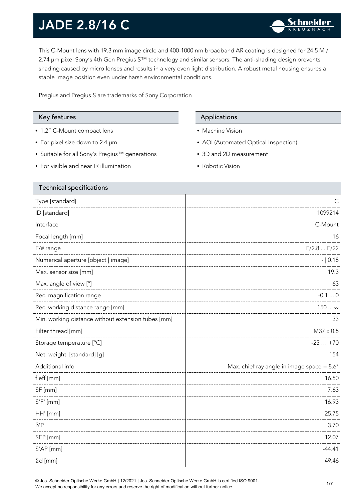This C-Mount lens with 19.3 mm image circle and 400-1000 nm broadband AR coating is designed for 24.5 M / 2.74 µm pixel Sony's 4th Gen Pregius S™ technology and similar sensors. The anti-shading design prevents shading caused by micro lenses and results in a very even light distribution. A robust metal housing ensures a stable image position even under harsh environmental conditions.

Pregius and Pregius S are trademarks of Sony Corporation

- 1.2" C-Mount compact lens
- For pixel size down to 2.4 µm
- Suitable for all Sony's Pregius™ generations
- For visible and near IR illumination

#### Key features **Applications** Applications

- Machine Vision
- AOI (Automated Optical Inspection)
- 3D and 2D measurement
- Robotic Vision

| <b>Technical specifications</b>                    |                                                     |
|----------------------------------------------------|-----------------------------------------------------|
| Type [standard]                                    |                                                     |
| ID [standard]                                      | 1099214                                             |
| Interface                                          | C-Mount                                             |
| Focal length [mm]                                  | 16                                                  |
| $F/\#$ range                                       | F/2.8  F/22                                         |
| Numerical aperture [object   image]                | $- 0.18$                                            |
| Max. sensor size [mm]                              | 19.3                                                |
| Max. angle of view [°]                             | 63                                                  |
| Rec. magnification range                           | $-0.10$                                             |
| Rec. working distance range [mm]                   | 150  ∞                                              |
| Min. working distance without extension tubes [mm] | 33                                                  |
| Filter thread [mm]                                 | M37 x 0.5                                           |
| Storage temperature [°C]                           | $-25+70$                                            |
| Net. weight [standard] [g]                         | 154                                                 |
| Additional info                                    | Max. chief ray angle in image space = $8.6^{\circ}$ |
| f'eff [mm]                                         | 16.50                                               |
| SF [mm]                                            | 7.63                                                |
| $S'F'$ [mm]                                        | 16.93                                               |
| HH' [mm]                                           | 25.75                                               |
| $\beta$ 'P                                         | 3.70                                                |
| SEP [mm]                                           | 12.07                                               |
| S'AP [mm]                                          | $-44.41$                                            |
| $\Sigma d$ [mm]                                    | 49.46                                               |
|                                                    |                                                     |

© Jos. Schneider Optische Werke GmbH | 12/2021 | Jos. Schneider Optische Werke GmbH is certified ISO 9001. שטשט שטשטאט וויזוויט קאנגוויט קאנגער די הייט א פייט א פייט פייט די הייט א פייט די האט פייט די הייט פייט פייט פ<br>We accept no responsibility for any errors and reserve the right of modification without further notice.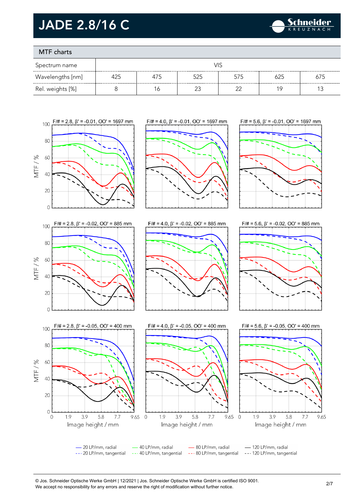

### MTF charts

| Spectrum name    | VIS |     |     |     |     |     |
|------------------|-----|-----|-----|-----|-----|-----|
| Wavelengths [nm] | 425 | 475 | 525 | 575 | 625 | 675 |
| Rel. weights [%] |     | ĥ   |     |     | 1 C |     |



© Jos. Schneider Optische Werke GmbH | 12/2021 | Jos. Schneider Optische Werke GmbH is certified ISO 9001. We accept no responsibility for any errors and reserve the right of modification without further notice.<br>We accept no responsibility for any errors and reserve the right of modification without further notice.

9.65

 $7.7$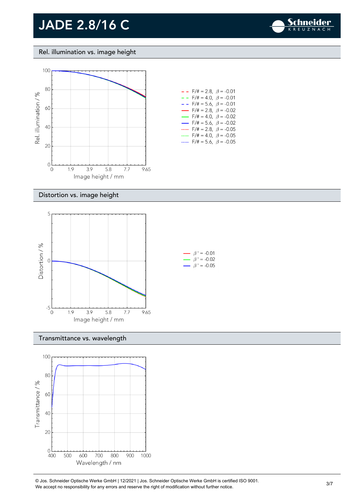

Rel. illumination vs. image height



### Distortion vs. image height



#### Transmittance vs. wavelength



© Jos. Schneider Optische Werke GmbH | 12/2021 | Jos. Schneider Optische Werke GmbH is certified ISO 9001. We accept no responsibility for any errors and reserve the right of modification without further notice.<br>We accept no responsibility for any errors and reserve the right of modification without further notice.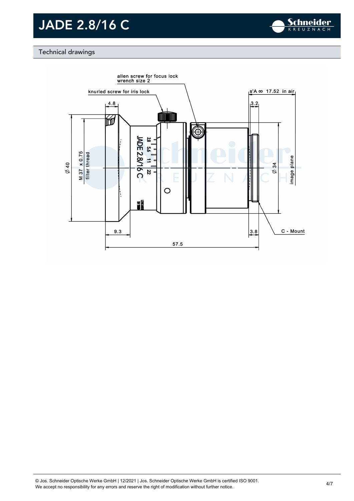

#### Technical drawings

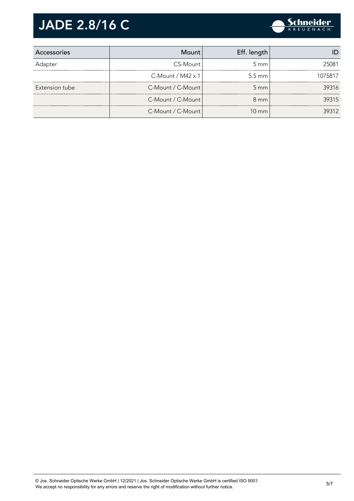

| Accessories    | Mount                       | Eff. length        |         |
|----------------|-----------------------------|--------------------|---------|
| Adapter        | CS-Mount                    | $5 \text{ mm}$     | 25081   |
|                | $C$ -Mount / M42 $\times$ 1 | $5.5 \text{ mm}$   | 1075817 |
| Extension tube | C-Mount / C-Mount           | $5 \, \mathrm{mm}$ | 39316   |
|                | C-Mount / C-Mount           | $8 \text{ mm}$     | 39315   |
|                | C-Mount / C-Mount           | $10 \text{ mm}$    | 39312   |